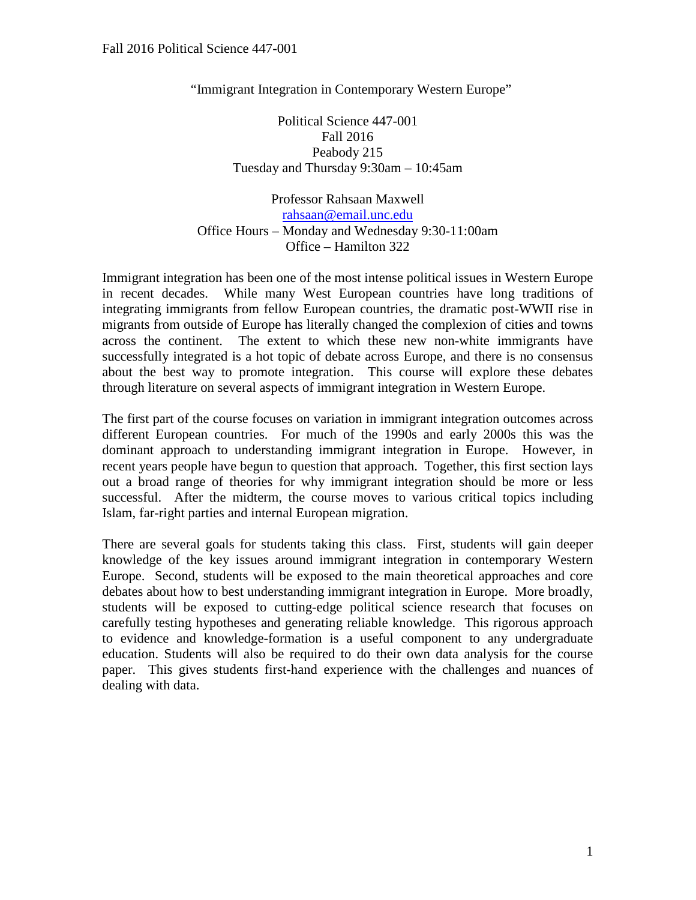"Immigrant Integration in Contemporary Western Europe"

Political Science 447-001 Fall 2016 Peabody 215 Tuesday and Thursday 9:30am – 10:45am

Professor Rahsaan Maxwell [rahsaan@email.unc.edu](mailto:rahsaan@email.unc.edu) Office Hours – Monday and Wednesday 9:30-11:00am Office – Hamilton 322

Immigrant integration has been one of the most intense political issues in Western Europe in recent decades. While many West European countries have long traditions of integrating immigrants from fellow European countries, the dramatic post-WWII rise in migrants from outside of Europe has literally changed the complexion of cities and towns across the continent. The extent to which these new non-white immigrants have successfully integrated is a hot topic of debate across Europe, and there is no consensus about the best way to promote integration. This course will explore these debates through literature on several aspects of immigrant integration in Western Europe.

The first part of the course focuses on variation in immigrant integration outcomes across different European countries. For much of the 1990s and early 2000s this was the dominant approach to understanding immigrant integration in Europe. However, in recent years people have begun to question that approach. Together, this first section lays out a broad range of theories for why immigrant integration should be more or less successful. After the midterm, the course moves to various critical topics including Islam, far-right parties and internal European migration.

There are several goals for students taking this class. First, students will gain deeper knowledge of the key issues around immigrant integration in contemporary Western Europe. Second, students will be exposed to the main theoretical approaches and core debates about how to best understanding immigrant integration in Europe. More broadly, students will be exposed to cutting-edge political science research that focuses on carefully testing hypotheses and generating reliable knowledge. This rigorous approach to evidence and knowledge-formation is a useful component to any undergraduate education. Students will also be required to do their own data analysis for the course paper. This gives students first-hand experience with the challenges and nuances of dealing with data.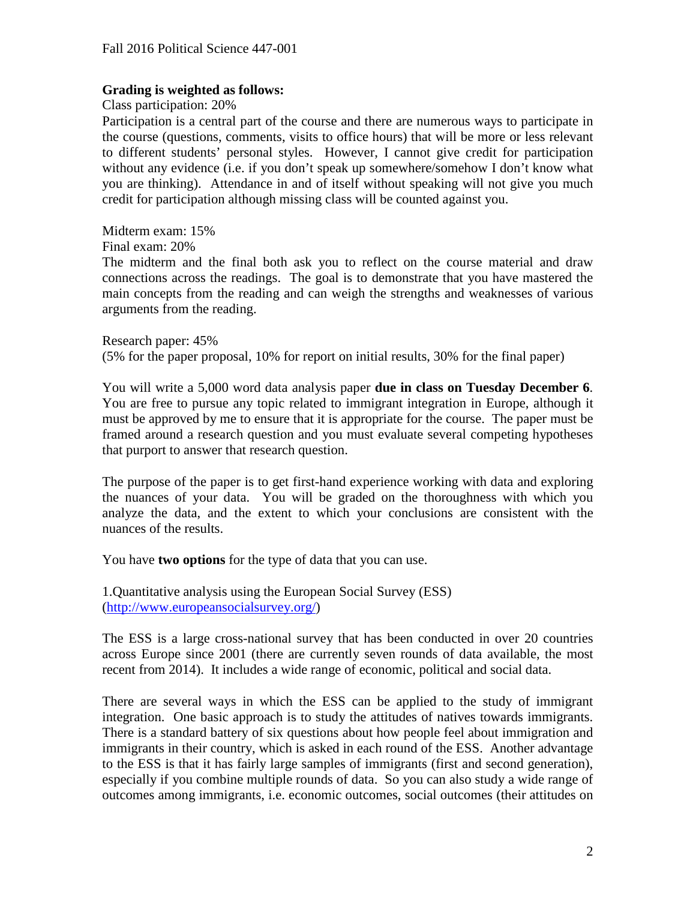# **Grading is weighted as follows:**

Class participation: 20%

Participation is a central part of the course and there are numerous ways to participate in the course (questions, comments, visits to office hours) that will be more or less relevant to different students' personal styles. However, I cannot give credit for participation without any evidence (i.e. if you don't speak up somewhere/somehow I don't know what you are thinking). Attendance in and of itself without speaking will not give you much credit for participation although missing class will be counted against you.

Midterm exam: 15%

Final exam: 20%

The midterm and the final both ask you to reflect on the course material and draw connections across the readings. The goal is to demonstrate that you have mastered the main concepts from the reading and can weigh the strengths and weaknesses of various arguments from the reading.

Research paper: 45% (5% for the paper proposal, 10% for report on initial results, 30% for the final paper)

You will write a 5,000 word data analysis paper **due in class on Tuesday December 6**. You are free to pursue any topic related to immigrant integration in Europe, although it must be approved by me to ensure that it is appropriate for the course. The paper must be framed around a research question and you must evaluate several competing hypotheses that purport to answer that research question.

The purpose of the paper is to get first-hand experience working with data and exploring the nuances of your data. You will be graded on the thoroughness with which you analyze the data, and the extent to which your conclusions are consistent with the nuances of the results.

You have **two options** for the type of data that you can use.

1.Quantitative analysis using the European Social Survey (ESS) [\(http://www.europeansocialsurvey.org/\)](http://www.europeansocialsurvey.org/)

The ESS is a large cross-national survey that has been conducted in over 20 countries across Europe since 2001 (there are currently seven rounds of data available, the most recent from 2014). It includes a wide range of economic, political and social data.

There are several ways in which the ESS can be applied to the study of immigrant integration. One basic approach is to study the attitudes of natives towards immigrants. There is a standard battery of six questions about how people feel about immigration and immigrants in their country, which is asked in each round of the ESS. Another advantage to the ESS is that it has fairly large samples of immigrants (first and second generation), especially if you combine multiple rounds of data. So you can also study a wide range of outcomes among immigrants, i.e. economic outcomes, social outcomes (their attitudes on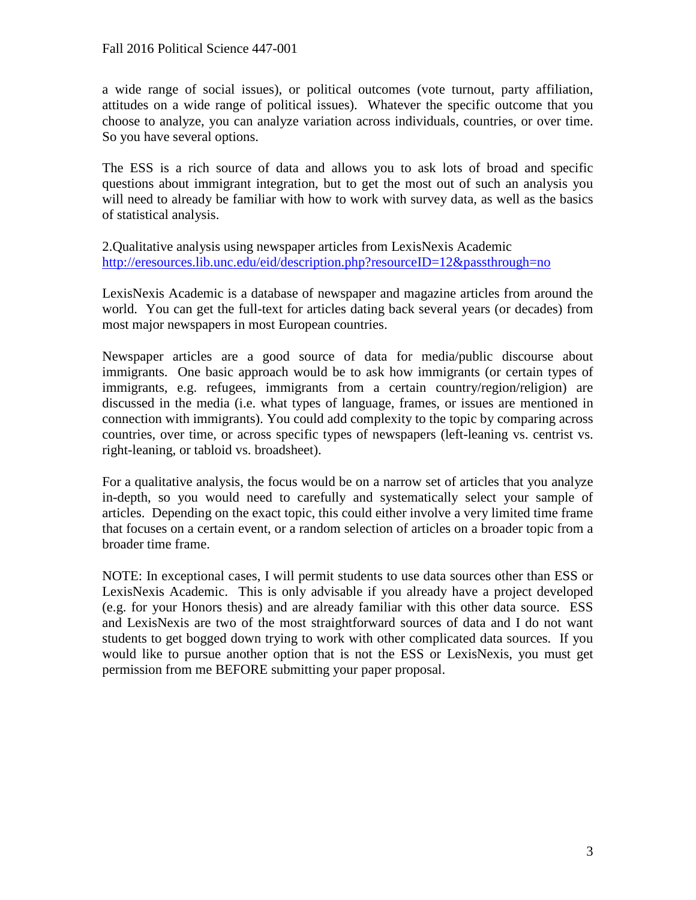a wide range of social issues), or political outcomes (vote turnout, party affiliation, attitudes on a wide range of political issues). Whatever the specific outcome that you choose to analyze, you can analyze variation across individuals, countries, or over time. So you have several options.

The ESS is a rich source of data and allows you to ask lots of broad and specific questions about immigrant integration, but to get the most out of such an analysis you will need to already be familiar with how to work with survey data, as well as the basics of statistical analysis.

2.Qualitative analysis using newspaper articles from LexisNexis Academic <http://eresources.lib.unc.edu/eid/description.php?resourceID=12&passthrough=no>

LexisNexis Academic is a database of newspaper and magazine articles from around the world. You can get the full-text for articles dating back several years (or decades) from most major newspapers in most European countries.

Newspaper articles are a good source of data for media/public discourse about immigrants. One basic approach would be to ask how immigrants (or certain types of immigrants, e.g. refugees, immigrants from a certain country/region/religion) are discussed in the media (i.e. what types of language, frames, or issues are mentioned in connection with immigrants). You could add complexity to the topic by comparing across countries, over time, or across specific types of newspapers (left-leaning vs. centrist vs. right-leaning, or tabloid vs. broadsheet).

For a qualitative analysis, the focus would be on a narrow set of articles that you analyze in-depth, so you would need to carefully and systematically select your sample of articles. Depending on the exact topic, this could either involve a very limited time frame that focuses on a certain event, or a random selection of articles on a broader topic from a broader time frame.

NOTE: In exceptional cases, I will permit students to use data sources other than ESS or LexisNexis Academic. This is only advisable if you already have a project developed (e.g. for your Honors thesis) and are already familiar with this other data source. ESS and LexisNexis are two of the most straightforward sources of data and I do not want students to get bogged down trying to work with other complicated data sources. If you would like to pursue another option that is not the ESS or LexisNexis, you must get permission from me BEFORE submitting your paper proposal.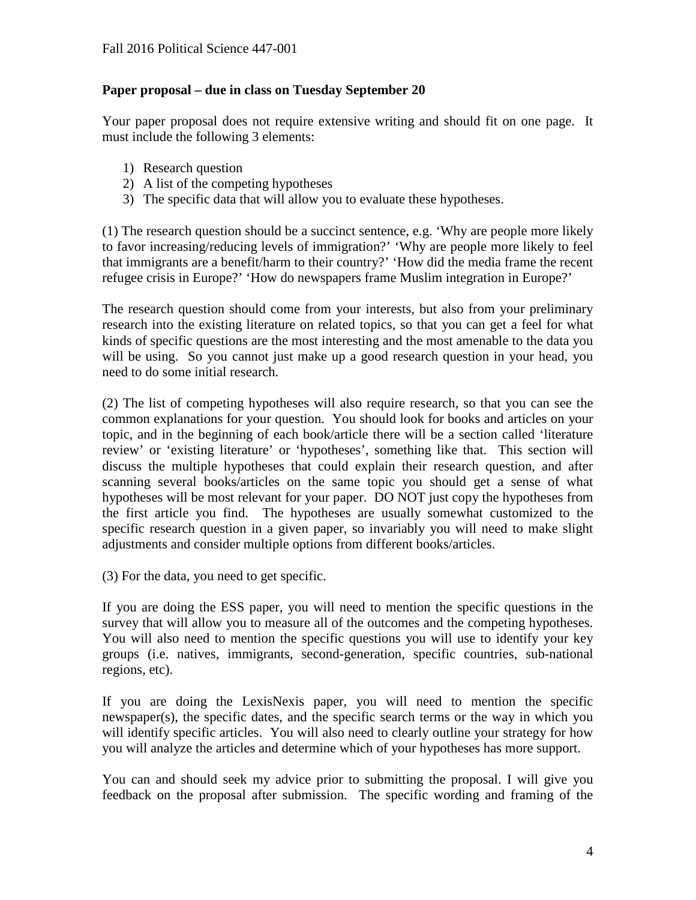# **Paper proposal – due in class on Tuesday September 20**

Your paper proposal does not require extensive writing and should fit on one page. It must include the following 3 elements:

- 1) Research question
- 2) A list of the competing hypotheses
- 3) The specific data that will allow you to evaluate these hypotheses.

(1) The research question should be a succinct sentence, e.g. 'Why are people more likely to favor increasing/reducing levels of immigration?' 'Why are people more likely to feel that immigrants are a benefit/harm to their country?' 'How did the media frame the recent refugee crisis in Europe?' 'How do newspapers frame Muslim integration in Europe?'

The research question should come from your interests, but also from your preliminary research into the existing literature on related topics, so that you can get a feel for what kinds of specific questions are the most interesting and the most amenable to the data you will be using. So you cannot just make up a good research question in your head, you need to do some initial research.

(2) The list of competing hypotheses will also require research, so that you can see the common explanations for your question. You should look for books and articles on your topic, and in the beginning of each book/article there will be a section called 'literature review' or 'existing literature' or 'hypotheses', something like that. This section will discuss the multiple hypotheses that could explain their research question, and after scanning several books/articles on the same topic you should get a sense of what hypotheses will be most relevant for your paper. DO NOT just copy the hypotheses from the first article you find. The hypotheses are usually somewhat customized to the specific research question in a given paper, so invariably you will need to make slight adjustments and consider multiple options from different books/articles.

(3) For the data, you need to get specific.

If you are doing the ESS paper, you will need to mention the specific questions in the survey that will allow you to measure all of the outcomes and the competing hypotheses. You will also need to mention the specific questions you will use to identify your key groups (i.e. natives, immigrants, second-generation, specific countries, sub-national regions, etc).

If you are doing the LexisNexis paper, you will need to mention the specific newspaper(s), the specific dates, and the specific search terms or the way in which you will identify specific articles. You will also need to clearly outline your strategy for how you will analyze the articles and determine which of your hypotheses has more support.

You can and should seek my advice prior to submitting the proposal. I will give you feedback on the proposal after submission. The specific wording and framing of the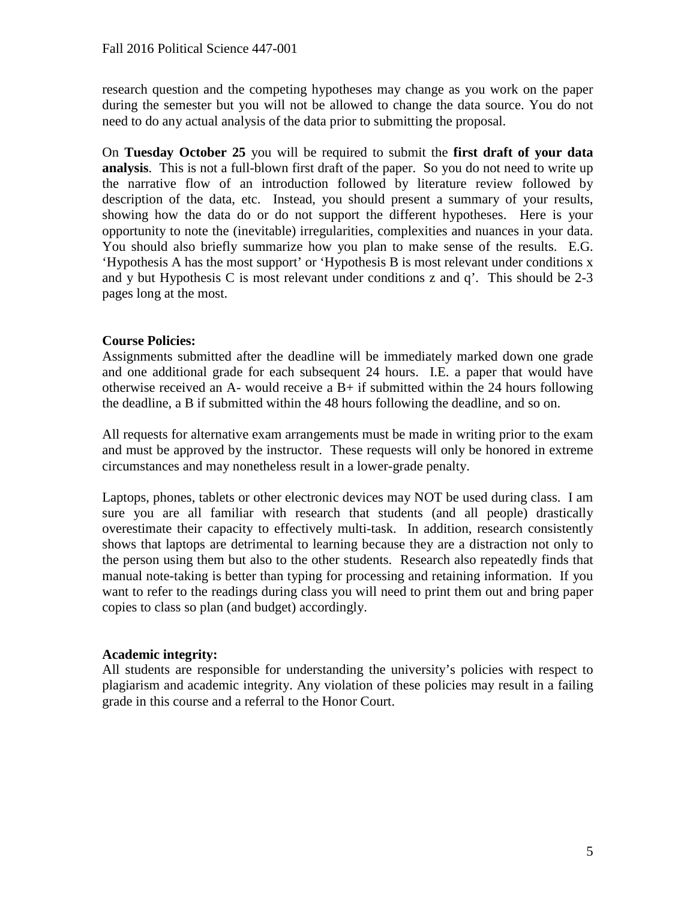research question and the competing hypotheses may change as you work on the paper during the semester but you will not be allowed to change the data source. You do not need to do any actual analysis of the data prior to submitting the proposal.

On **Tuesday October 25** you will be required to submit the **first draft of your data analysis**. This is not a full-blown first draft of the paper. So you do not need to write up the narrative flow of an introduction followed by literature review followed by description of the data, etc. Instead, you should present a summary of your results, showing how the data do or do not support the different hypotheses. Here is your opportunity to note the (inevitable) irregularities, complexities and nuances in your data. You should also briefly summarize how you plan to make sense of the results. E.G. 'Hypothesis A has the most support' or 'Hypothesis B is most relevant under conditions x and y but Hypothesis C is most relevant under conditions z and q'. This should be 2-3 pages long at the most.

# **Course Policies:**

Assignments submitted after the deadline will be immediately marked down one grade and one additional grade for each subsequent 24 hours. I.E. a paper that would have otherwise received an A- would receive a  $B+$  if submitted within the 24 hours following the deadline, a B if submitted within the 48 hours following the deadline, and so on.

All requests for alternative exam arrangements must be made in writing prior to the exam and must be approved by the instructor. These requests will only be honored in extreme circumstances and may nonetheless result in a lower-grade penalty.

Laptops, phones, tablets or other electronic devices may NOT be used during class. I am sure you are all familiar with research that students (and all people) drastically overestimate their capacity to effectively multi-task. In addition, research consistently shows that laptops are detrimental to learning because they are a distraction not only to the person using them but also to the other students. Research also repeatedly finds that manual note-taking is better than typing for processing and retaining information. If you want to refer to the readings during class you will need to print them out and bring paper copies to class so plan (and budget) accordingly.

# **Academic integrity:**

All students are responsible for understanding the university's policies with respect to plagiarism and academic integrity. Any violation of these policies may result in a failing grade in this course and a referral to the Honor Court.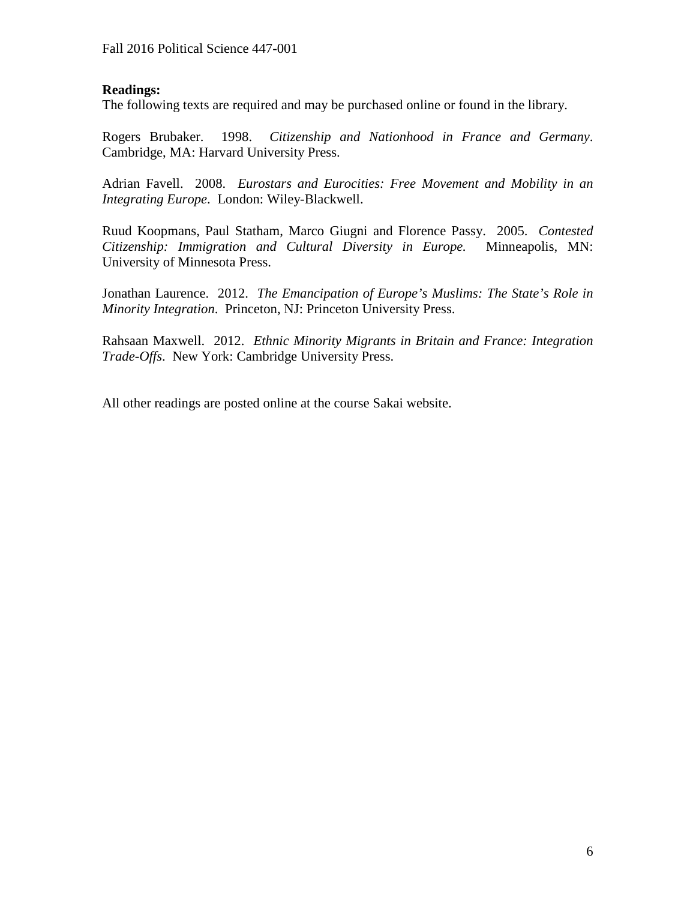# **Readings:**

The following texts are required and may be purchased online or found in the library.

Rogers Brubaker. 1998. *Citizenship and Nationhood in France and Germany*. Cambridge, MA: Harvard University Press.

Adrian Favell. 2008. *Eurostars and Eurocities: Free Movement and Mobility in an Integrating Europe*. London: Wiley-Blackwell.

Ruud Koopmans, Paul Statham, Marco Giugni and Florence Passy. 2005. *Contested Citizenship: Immigration and Cultural Diversity in Europe.* Minneapolis, MN: University of Minnesota Press.

Jonathan Laurence. 2012. *The Emancipation of Europe's Muslims: The State's Role in Minority Integration*. Princeton, NJ: Princeton University Press.

Rahsaan Maxwell. 2012. *Ethnic Minority Migrants in Britain and France: Integration Trade-Offs*. New York: Cambridge University Press.

All other readings are posted online at the course Sakai website.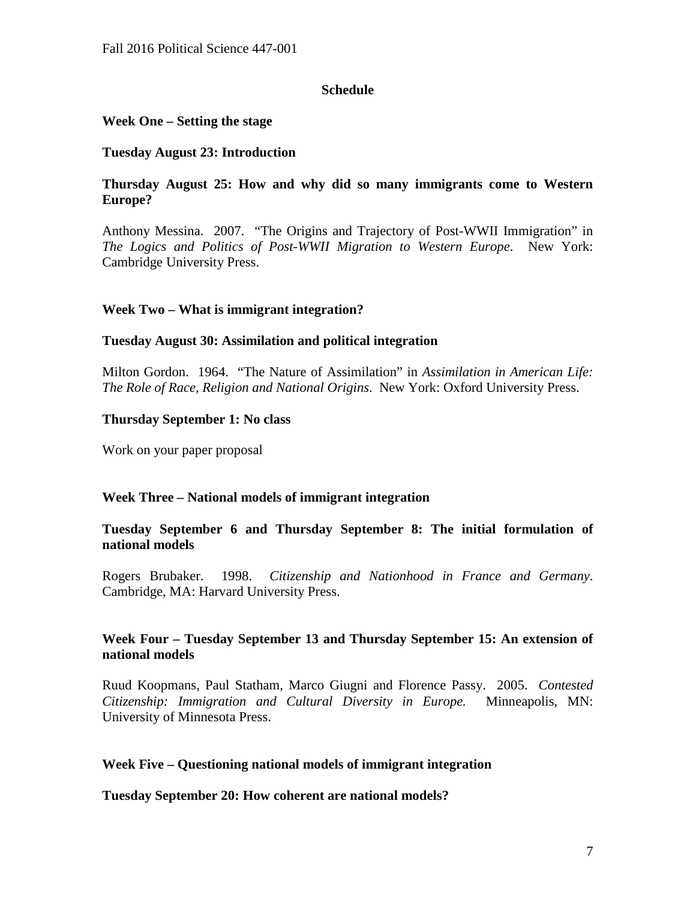# **Schedule**

# **Week One – Setting the stage**

### **Tuesday August 23: Introduction**

# **Thursday August 25: How and why did so many immigrants come to Western Europe?**

Anthony Messina. 2007. "The Origins and Trajectory of Post-WWII Immigration" in *The Logics and Politics of Post-WWII Migration to Western Europe*. New York: Cambridge University Press.

# **Week Two – What is immigrant integration?**

### **Tuesday August 30: Assimilation and political integration**

Milton Gordon. 1964. "The Nature of Assimilation" in *Assimilation in American Life: The Role of Race, Religion and National Origins*. New York: Oxford University Press.

### **Thursday September 1: No class**

Work on your paper proposal

### **Week Three – National models of immigrant integration**

# **Tuesday September 6 and Thursday September 8: The initial formulation of national models**

Rogers Brubaker. 1998. *Citizenship and Nationhood in France and Germany*. Cambridge, MA: Harvard University Press.

# **Week Four – Tuesday September 13 and Thursday September 15: An extension of national models**

Ruud Koopmans, Paul Statham, Marco Giugni and Florence Passy. 2005. *Contested Citizenship: Immigration and Cultural Diversity in Europe.* Minneapolis, MN: University of Minnesota Press.

### **Week Five – Questioning national models of immigrant integration**

### **Tuesday September 20: How coherent are national models?**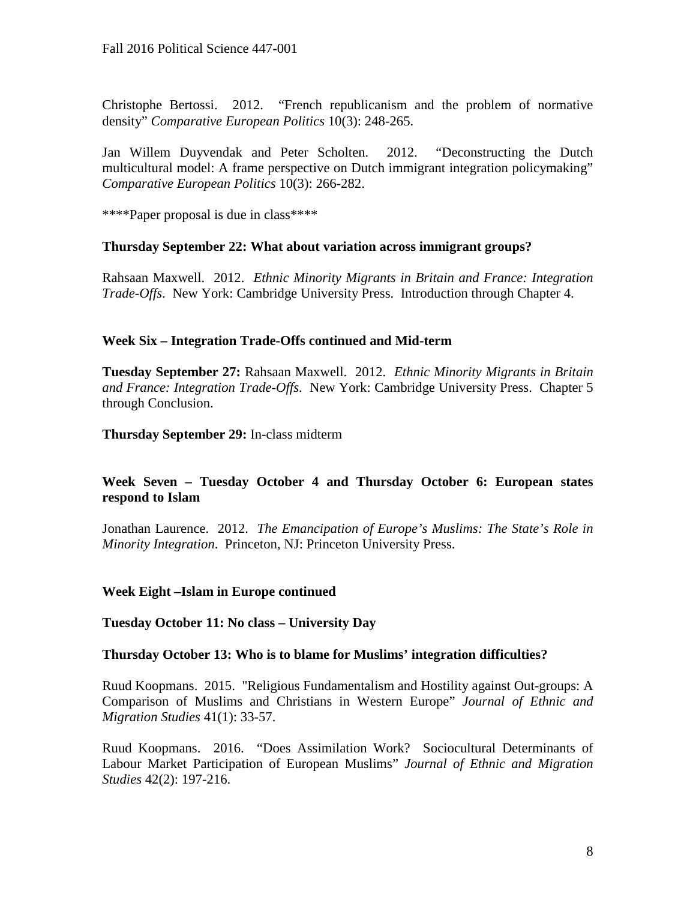Christophe Bertossi. 2012. "French republicanism and the problem of normative density" *Comparative European Politics* 10(3): 248-265.

Jan Willem Duyvendak and Peter Scholten. 2012. "Deconstructing the Dutch multicultural model: A frame perspective on Dutch immigrant integration policymaking" *Comparative European Politics* 10(3): 266-282.

\*\*\*\*Paper proposal is due in class\*\*\*\*

### **Thursday September 22: What about variation across immigrant groups?**

Rahsaan Maxwell. 2012. *Ethnic Minority Migrants in Britain and France: Integration Trade-Offs*. New York: Cambridge University Press. Introduction through Chapter 4.

### **Week Six – Integration Trade-Offs continued and Mid-term**

**Tuesday September 27:** Rahsaan Maxwell. 2012. *Ethnic Minority Migrants in Britain and France: Integration Trade-Offs*. New York: Cambridge University Press. Chapter 5 through Conclusion.

**Thursday September 29:** In-class midterm

# **Week Seven – Tuesday October 4 and Thursday October 6: European states respond to Islam**

Jonathan Laurence. 2012. *The Emancipation of Europe's Muslims: The State's Role in Minority Integration*. Princeton, NJ: Princeton University Press.

#### **Week Eight –Islam in Europe continued**

#### **Tuesday October 11: No class – University Day**

#### **Thursday October 13: Who is to blame for Muslims' integration difficulties?**

Ruud Koopmans. 2015. "Religious Fundamentalism and Hostility against Out-groups: A Comparison of Muslims and Christians in Western Europe" *Journal of Ethnic and Migration Studies* 41(1): 33-57.

Ruud Koopmans. 2016. "Does Assimilation Work? Sociocultural Determinants of Labour Market Participation of European Muslims" *Journal of Ethnic and Migration Studies* 42(2): 197-216.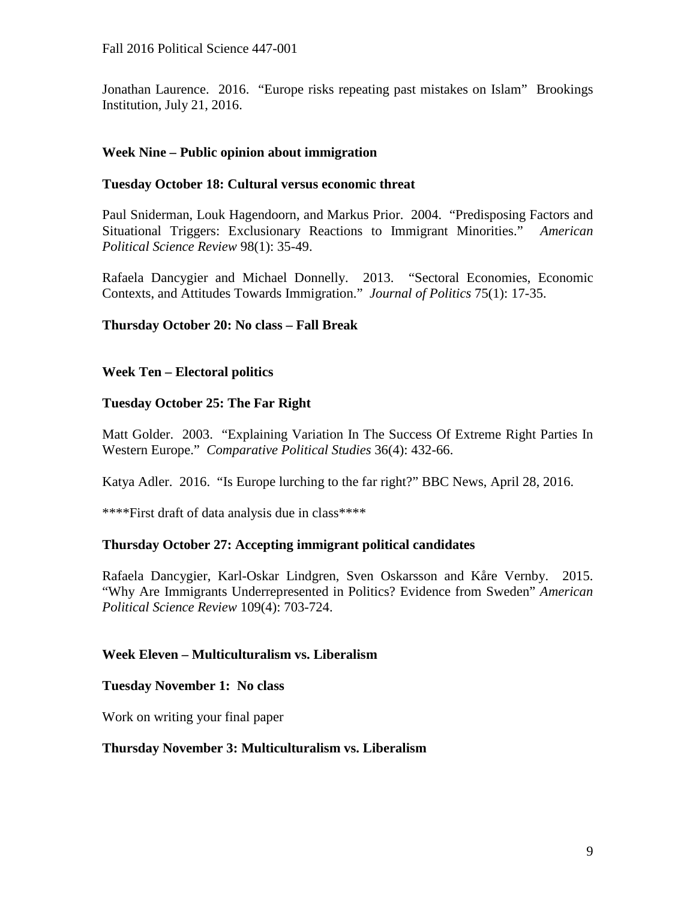Jonathan Laurence. 2016. "Europe risks repeating past mistakes on Islam" Brookings Institution, July 21, 2016.

# **Week Nine – Public opinion about immigration**

# **Tuesday October 18: Cultural versus economic threat**

Paul Sniderman, Louk Hagendoorn, and Markus Prior. 2004. "Predisposing Factors and Situational Triggers: Exclusionary Reactions to Immigrant Minorities." *American Political Science Review* 98(1): 35-49.

Rafaela Dancygier and Michael Donnelly. 2013. "Sectoral Economies, Economic Contexts, and Attitudes Towards Immigration." *Journal of Politics* 75(1): 17-35.

# **Thursday October 20: No class – Fall Break**

# **Week Ten – Electoral politics**

# **Tuesday October 25: The Far Right**

Matt Golder. 2003. "Explaining Variation In The Success Of Extreme Right Parties In Western Europe." *Comparative Political Studies* 36(4): 432-66.

Katya Adler. 2016. "Is Europe lurching to the far right?" BBC News, April 28, 2016.

\*\*\*\*First draft of data analysis due in class\*\*\*\*

# **Thursday October 27: Accepting immigrant political candidates**

Rafaela Dancygier, Karl-Oskar Lindgren, Sven Oskarsson and Kåre Vernby. 2015. "Why Are Immigrants Underrepresented in Politics? Evidence from Sweden" *American Political Science Review* 109(4): 703-724.

### **Week Eleven – Multiculturalism vs. Liberalism**

### **Tuesday November 1: No class**

Work on writing your final paper

### **Thursday November 3: Multiculturalism vs. Liberalism**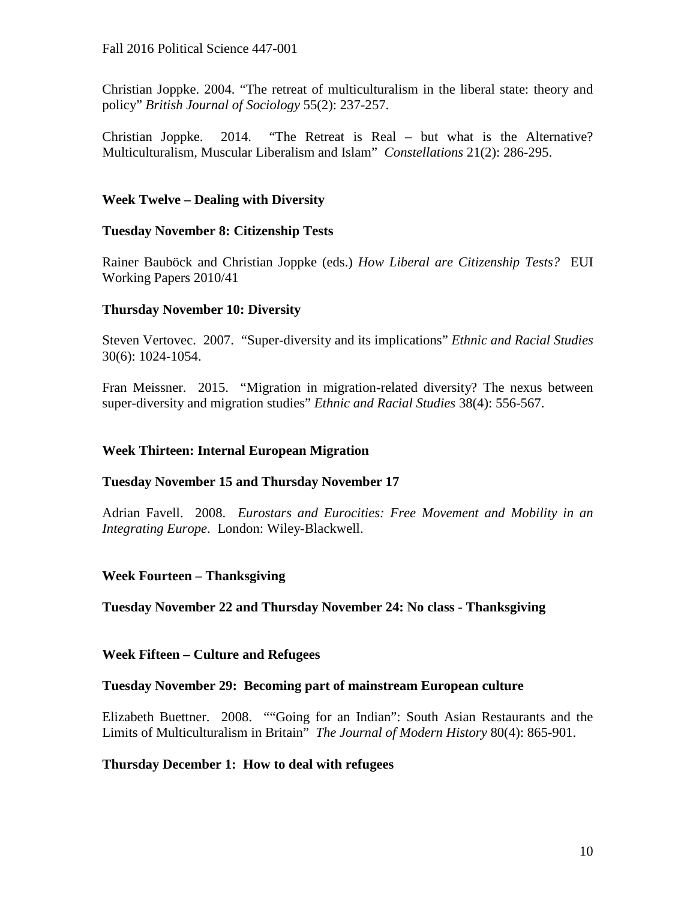Christian Joppke. 2004. "The retreat of multiculturalism in the liberal state: theory and policy" *British Journal of Sociology* 55(2): 237-257.

Christian Joppke. 2014. "The Retreat is Real – but what is the Alternative? Multiculturalism, Muscular Liberalism and Islam" *Constellations* 21(2): 286-295.

# **Week Twelve – Dealing with Diversity**

# **Tuesday November 8: Citizenship Tests**

Rainer Bauböck and Christian Joppke (eds.) *How Liberal are Citizenship Tests?* EUI Working Papers 2010/41

# **Thursday November 10: Diversity**

Steven Vertovec. 2007. "Super-diversity and its implications" *Ethnic and Racial Studies* 30(6): 1024-1054.

Fran Meissner. 2015. "Migration in migration-related diversity? The nexus between super-diversity and migration studies" *Ethnic and Racial Studies* 38(4): 556-567.

# **Week Thirteen: Internal European Migration**

### **Tuesday November 15 and Thursday November 17**

Adrian Favell. 2008. *Eurostars and Eurocities: Free Movement and Mobility in an Integrating Europe*. London: Wiley-Blackwell.

### **Week Fourteen – Thanksgiving**

**Tuesday November 22 and Thursday November 24: No class - Thanksgiving**

### **Week Fifteen – Culture and Refugees**

### **Tuesday November 29: Becoming part of mainstream European culture**

Elizabeth Buettner. 2008. ""Going for an Indian": South Asian Restaurants and the Limits of Multiculturalism in Britain" *The Journal of Modern History* 80(4): 865-901.

### **Thursday December 1: How to deal with refugees**